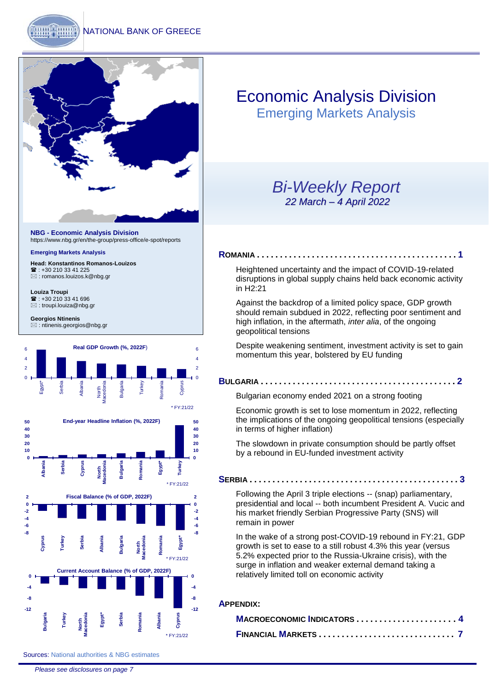

**NBG - Economic Analysis Division** <https://www.nbg.gr/en/the-group/press-office/e-spot/reports>

#### **Emerging Markets Analysis**

**Head: Konstantinos Romanos-Louizos** <sup>2</sup>: +30 210 33 41 225 [: romanos.louizos.k@nbg.gr](mailto:romanos.louizos.k@nbg.gr)

**Louiza Troupi**  ■: +30 210 33 41 696 [: troupi.louiza@nbg.gr](mailto:troupi.louiza@nbg.gr)

**Georgios Ntinenis** : ntinenis.georgios@nbg.gr



# Economic Analysis Division

Emerging Markets Analysis

### *Bi-Weekly Report 22 March – 4 April 2022*

### **R[OMANIA](#page-1-0) . . . . . . . . . . . . . . . . . . . . . . . . . . . . . . . . . . . . . . . . . . . . 1**

[Heightened uncertainty and the impact of COVID-19-related](#page-1-0)  [disruptions in global supply chains held back economic activity](#page-1-0)  [in H2:21](#page-1-0)

[Against the backdrop of a limited policy space, GDP growth](#page-1-0)  [should remain subdued in 2022, reflecting poor sentiment and](#page-1-0)  [high inflation, in the aftermath,](#page-1-0) *inter alia*, of the ongoing [geopolitical tensions](#page-1-0)

[Despite weakening sentiment, investment activity is set to gain](#page-1-0)  [momentum this year, bolstered](#page-1-0) by EU funding

#### **B[ULGARIA](#page-2-0) . . . . . . . . . . . . . . . . . . . . . . . . . . . . . . . . . . . . . . . . . . . 2**

[Bulgarian economy ended 2021 on a strong footing](#page-2-0)

[Economic growth is set to lose momentum in 2022, reflecting](#page-2-0)  [the implications of the ongoing geopolitical tensions \(especially](#page-2-0)  [in terms of higher inflation\)](#page-2-0)

[The slowdown in private consumption should be partly offset](#page-2-0)  [by a rebound in EU-funded investment activity](#page-2-0)

#### **S[ERBIA](#page-3-0) . . . . . . . . . . . . . . . . . . . . . . . . . . . . . . . . . . . . . . . . . . . . . . 3**

Following the April 3 triple elections -- [\(snap\) parliamentary,](#page-3-0)  presidential and local -- [both incumbent President A. Vucic and](#page-3-0)  [his market friendly Serbian Progressive Party \(SNS\) will](#page-3-0)  [remain in power](#page-3-0)

[I](#page-3-0)n the wake of a strong post-COVID-19 rebound in FY:21, GDP growth is set to ease to a still robust 4.3% this year (versus 5.2% expected prior to the Russia-Ukraine crisis), with the surge in inflation and weaker external demand taking a relatively limited toll on economic activity

#### **A[PPENDIX](#page-4-0):**

| MACROECONOMIC INDICATORS  4 |  |
|-----------------------------|--|
|                             |  |

Sources: National authorities & NBG estimates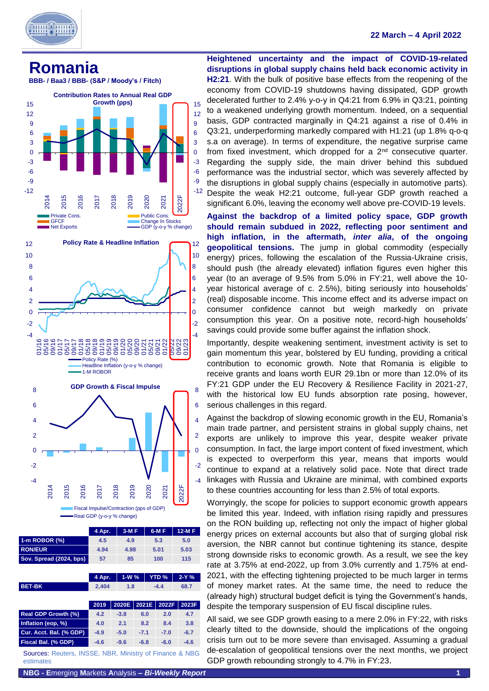

#### **22 March – 4 April 2022**

<span id="page-1-0"></span>





Fiscal Impulse/Contraction (pps of GDP) Real GDP (y-o-y % change)

|                         | 4 Apr. | $3-MF$ | $6-M F$ | $12-MF$ |
|-------------------------|--------|--------|---------|---------|
| 1-m ROBOR (%)           | 4.5    | 4.9    | 5.3     | 5.0     |
| <b>RON/EUR</b>          | 4.94   | 4.98   | 5.01    | 5.03    |
| Sov. Spread (2024, bps) | 57     | 85     | 100     | 115     |
|                         |        |        |         |         |

|                                  | 4 Apr. | $1-W%$ |        |  | YTD %  | $2-Y$ %                       |
|----------------------------------|--------|--------|--------|--|--------|-------------------------------|
| <b>BET-BK</b>                    | 2,404  | 1.8    |        |  | $-4.4$ | 68.7                          |
|                                  |        |        |        |  |        |                               |
|                                  | 2019   | 2020E  | 2021E  |  | 2022F  | 2023F                         |
| <b>Real GDP Growth (%)</b>       | 4.2    | $-3.8$ | 6.0    |  | 2.0    | 4.7                           |
| Inflation (eop, %)               | 4.0    | 2.1    | 8.2    |  | 8.4    | 3.8                           |
| Cur. Acct. Bal. (% GDP)          | $-4.9$ | $-5.0$ | $-7.1$ |  | $-7.0$ | $-6.7$                        |
| <b>Fiscal Bal. (% GDP)</b>       | $-4.6$ | $-9.6$ | $-6.8$ |  | $-6.0$ | $-4.6$                        |
| <b>INICCE</b><br>Courses Doutare |        |        |        |  |        | NDD Minietry of Einance & NDC |

Sources: Reuters, INSSE, NBR, Ministry of Finance & NBG estimates

**Heightened uncertainty and the impact of COVID-19-related disruptions in global supply chains held back economic activity in H2:21**. With the bulk of positive base effects from the reopening of the economy from COVID-19 shutdowns having dissipated, GDP growth decelerated further to 2.4% y-o-y in Q4:21 from 6.9% in Q3:21, pointing to a weakened underlying growth momentum. Indeed, on a sequential basis, GDP contracted marginally in Q4:21 against a rise of 0.4% in Q3:21, underperforming markedly compared with H1:21 (up 1.8% q-o-q s.a on average). In terms of expenditure, the negative surprise came from fixed investment, which dropped for a 2nd consecutive quarter. Regarding the supply side, the main driver behind this subdued performance was the industrial sector, which was severely affected by the disruptions in global supply chains (especially in automotive parts). Despite the weak H2:21 outcome, full-year GDP growth reached a significant 6.0%, leaving the economy well above pre-COVID-19 levels.

**Against the backdrop of a limited policy space, GDP growth should remain subdued in 2022, reflecting poor sentiment and high inflation, in the aftermath,** *inter alia***, of the ongoing geopolitical tensions.** The jump in global commodity (especially energy) prices, following the escalation of the Russia-Ukraine crisis, should push (the already elevated) inflation figures even higher this year (to an average of 9.5% from 5.0% in FY:21, well above the 10 year historical average of c. 2.5%), biting seriously into households' (real) disposable income. This income effect and its adverse impact on consumer confidence cannot but weigh markedly on private consumption this year. On a positive note, record-high households' savings could provide some buffer against the inflation shock.

Importantly, despite weakening sentiment, investment activity is set to gain momentum this year, bolstered by EU funding, providing a critical contribution to economic growth. Note that Romania is eligible to receive grants and loans worth EUR 29.1bn or more than 12.0% of its FY:21 GDP under the EU Recovery & Resilience Facility in 2021-27, with the historical low EU funds absorption rate posing, however, serious challenges in this regard.

Against the backdrop of slowing economic growth in the EU, Romania's main trade partner, and persistent strains in global supply chains, net exports are unlikely to improve this year, despite weaker private consumption. In fact, the large import content of fixed investment, which is expected to overperform this year, means that imports would continue to expand at a relatively solid pace. Note that direct trade linkages with Russia and Ukraine are minimal, with combined exports to these countries accounting for less than 2.5% of total exports.

Worryingly, the scope for policies to support economic growth appears be limited this year. Indeed, with inflation rising rapidly and pressures on the RON building up, reflecting not only the impact of higher global energy prices on external accounts but also that of surging global risk aversion, the NBR cannot but continue tightening its stance, despite strong downside risks to economic growth. As a result, we see the key rate at 3.75% at end-2022, up from 3.0% currently and 1.75% at end-2021, with the effecting tightening projected to be much larger in terms of money market rates. At the same time, the need to reduce the (already high) structural budget deficit is tying the Government's hands, despite the temporary suspension of EU fiscal discipline rules.

All said, we see GDP growth easing to a mere 2.0% in FY:22, with risks clearly tilted to the downside, should the implications of the ongoing crisis turn out to be more severe than envisaged. Assuming a gradual de-escalation of geopolitical tensions over the next months, we project GDP growth rebounding strongly to 4.7% in FY:23.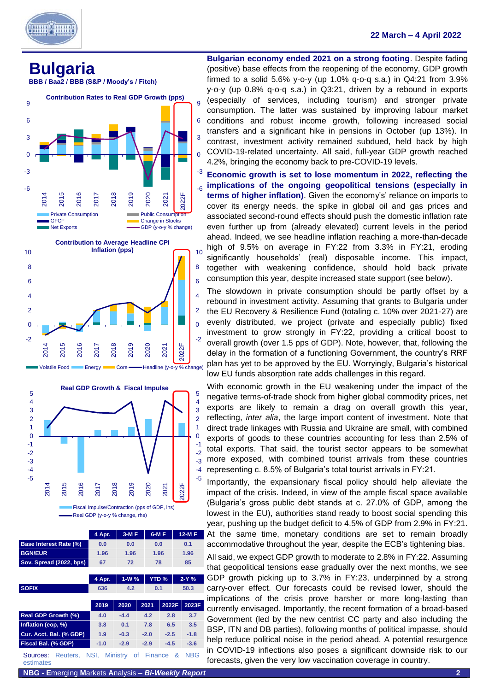

#### **22 March – 4 April 2022**

<span id="page-2-0"></span>

 **BBB / Baa2 / BBB (S&P / Moody's / Fitch)**







|                                   | 4 Apr.        | $3-MF$  | $6-MF$     |             | 12-M F     |  |
|-----------------------------------|---------------|---------|------------|-------------|------------|--|
| <b>Base Interest Rate (%)</b>     | 0.0           | 0.0     | 0.0        |             | 0.1        |  |
| <b>BGN/EUR</b>                    | 1.96          | 1.96    | 1.96       |             | 1.96       |  |
| Sov. Spread (2022, bps)           | 67            | 72      | 78         |             | 85         |  |
|                                   |               |         |            |             |            |  |
|                                   | 4 Apr.        | $1-W$ % |            | <b>YTD%</b> | $2-Y%$     |  |
| <b>SOFIX</b>                      | 636           | 4.2     | 0.1        |             | 50.3       |  |
|                                   |               |         |            |             |            |  |
|                                   |               |         |            |             |            |  |
|                                   | 2019          | 2020    | 2021       | 2022F       | 2023F      |  |
| Real GDP Growth (%)               | 4.0           | $-4.4$  | 4.2        | 2.8         | 3.7        |  |
| Inflation (eop, %)                | 3.8           | 0.1     | 7.8        | 6.5         | 3.5        |  |
| Cur. Acct. Bal. (% GDP)           | 1.9           | $-0.3$  | $-2.0$     | $-2.5$      | $-1.8$     |  |
| Fiscal Bal. (% GDP)               | $-1.0$        | $-2.9$  | $-2.9$     | $-4.5$      | $-3.6$     |  |
| Reuters,<br>Sources:<br>estimates | NSI, Ministry |         | of Finance | &           | <b>NBG</b> |  |

**Bulgarian economy ended 2021 on a strong footing**. Despite fading (positive) base effects from the reopening of the economy, GDP growth firmed to a solid 5.6% y-o-y (up 1.0% q-o-q s.a.) in Q4:21 from 3.9% y-o-y (up 0.8% q-o-q s.a.) in Q3:21, driven by a rebound in exports (especially of services, including tourism) and stronger private consumption. The latter was sustained by improving labour market conditions and robust income growth, following increased social transfers and a significant hike in pensions in October (up 13%). In contrast, investment activity remained subdued, held back by high COVID-19-related uncertainty. All said, full-year GDP growth reached 4.2%, bringing the economy back to pre-COVID-19 levels.

**Economic growth is set to lose momentum in 2022, reflecting the implications of the ongoing geopolitical tensions (especially in terms of higher inflation)**. Given the economy's' reliance on imports to cover its energy needs, the spike in global oil and gas prices and associated second-round effects should push the domestic inflation rate even further up from (already elevated) current levels in the period ahead. Indeed, we see headline inflation reaching a more-than-decade high of 9.5% on average in FY:22 from 3.3% in FY:21, eroding significantly households' (real) disposable income. This impact, together with weakening confidence, should hold back private consumption this year, despite increased state support (see below).

The slowdown in private consumption should be partly offset by a rebound in investment activity. Assuming that grants to Bulgaria under the EU Recovery & Resilience Fund (totaling c. 10% over 2021-27) are evenly distributed, we project (private and especially public) fixed investment to grow strongly in FY:22, providing a critical boost to overall growth (over 1.5 pps of GDP). Note, however, that, following the delay in the formation of a functioning Government, the country's RRF plan has yet to be approved by the EU. Worryingly, Bulgaria's historical low EU funds absorption rate adds challenges in this regard.

With economic growth in the EU weakening under the impact of the negative terms-of-trade shock from higher global commodity prices, net exports are likely to remain a drag on overall growth this year, reflecting, *inter alia*, the large import content of investment. Note that direct trade linkages with Russia and Ukraine are small, with combined exports of goods to these countries accounting for less than 2.5% of total exports. That said, the tourist sector appears to be somewhat more exposed, with combined tourist arrivals from these countries representing c. 8.5% of Bulgaria's total tourist arrivals in FY:21.

Importantly, the expansionary fiscal policy should help alleviate the impact of the crisis. Indeed, in view of the ample fiscal space available (Bulgaria's gross public debt stands at c. 27.0% of GDP, among the lowest in the EU), authorities stand ready to boost social spending this year, pushing up the budget deficit to 4.5% of GDP from 2.9% in FY:21. At the same time, monetary conditions are set to remain broadly accommodative throughout the year, despite the ECB's tightening bias.

All said, we expect GDP growth to moderate to 2.8% in FY:22. Assuming that geopolitical tensions ease gradually over the next months, we see GDP growth picking up to 3.7% in FY:23, underpinned by a strong carry-over effect. Our forecasts could be revised lower, should the implications of the crisis prove harsher or more long-lasting than currently envisaged. Importantly, the recent formation of a broad-based Government (led by the new centrist CC party and also including the BSP, ITN and DB parties), following months of political impasse, should help reduce political noise in the period ahead. A potential resurgence in COVID-19 inflections also poses a significant downside risk to our forecasts, given the very low vaccination coverage in country.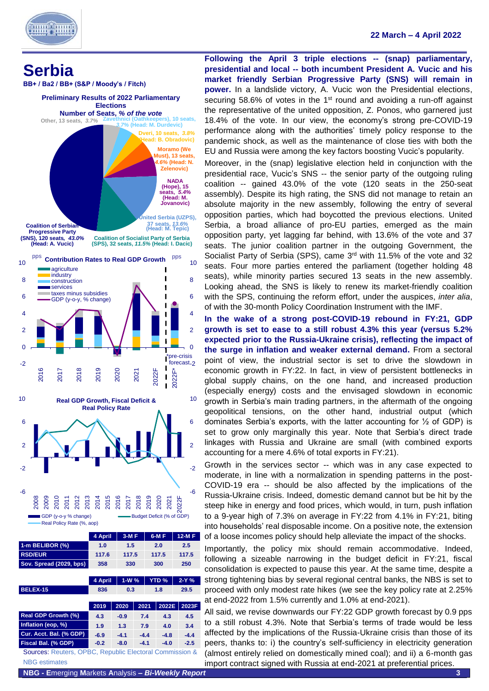

٦

#### **22 March – 4 April 2022**

<span id="page-3-0"></span>

|                                                         | 4 April | $3-MF$ |        |  | $6-M F$     | 12-M F |  |
|---------------------------------------------------------|---------|--------|--------|--|-------------|--------|--|
| 1-m BELIBOR (%)                                         | 1.0     | 1.5    |        |  | 2.0         | 2.5    |  |
| <b>RSD/EUR</b>                                          | 117.6   | 117.5  |        |  | 117.5       | 117.5  |  |
| Sov. Spread (2029, bps)                                 | 358     |        | 330    |  | 300         | 250    |  |
|                                                         |         |        |        |  |             |        |  |
|                                                         | 4 April | $1-W%$ |        |  | <b>YTD%</b> | $2-Y%$ |  |
| BELEX-15                                                | 836     | 0.3    |        |  | 1.8         | 29.5   |  |
|                                                         |         |        |        |  |             |        |  |
|                                                         | 2019    | 2020   | 2021   |  | 2022E       | 2023F  |  |
|                                                         |         |        |        |  |             |        |  |
| Real GDP Growth (%)                                     | 4.3     | $-0.9$ | 7.4    |  | 4.3         | 4.5    |  |
| Inflation (eop, %)                                      | 1.9     | 1.3    | 7.9    |  | 4.0         | 3.4    |  |
| Cur. Acct. Bal. (% GDP)                                 | $-6.9$  | $-4.1$ | $-4.4$ |  | $-4.8$      | $-4.4$ |  |
| Fiscal Bal. (% GDP)                                     | $-0.2$  | $-8.0$ | $-4.1$ |  | $-4.0$      | $-2.5$ |  |
| Sources: Reuters, OPBC, Republic Electoral Commission & |         |        |        |  |             |        |  |

**Following the April 3 triple elections -- (snap) parliamentary, presidential and local -- both incumbent President A. Vucic and his market friendly Serbian Progressive Party (SNS) will remain in power.** In a landslide victory, A. Vucic won the Presidential elections, securing 58.6% of votes in the 1<sup>st</sup> round and avoiding a run-off against the representative of the united opposition, Z. Ponos, who garnered just 18.4% of the vote. In our view, the economy's strong pre-COVID-19 performance along with the authorities' timely policy response to the pandemic shock, as well as the maintenance of close ties with both the EU and Russia were among the key factors boosting Vucic's popularity.

Moreover, in the (snap) legislative election held in conjunction with the presidential race, Vucic's SNS -- the senior party of the outgoing ruling coalition -- gained 43.0% of the vote (120 seats in the 250-seat assembly). Despite its high rating, the SNS did not manage to retain an absolute majority in the new assembly, following the entry of several opposition parties, which had boycotted the previous elections. United Serbia, a broad alliance of pro-EU parties, emerged as the main opposition party, yet lagging far behind, with 13.6% of the vote and 37 seats. The junior coalition partner in the outgoing Government, the Socialist Party of Serbia (SPS), came 3<sup>rd</sup> with 11.5% of the vote and 32 seats. Four more parties entered the parliament (together holding 48 seats), while minority parties secured 13 seats in the new assembly. Looking ahead, the SNS is likely to renew its market-friendly coalition with the SPS, continuing the reform effort, under the auspices, *inter alia*, of with the 30-month Policy Coordination Instrument with the IMF.

**In the wake of a strong post-COVID-19 rebound in FY:21, GDP growth is set to ease to a still robust 4.3% this year (versus 5.2% expected prior to the Russia-Ukraine crisis), reflecting the impact of the surge in inflation and weaker external demand.** From a sectoral point of view, the industrial sector is set to drive the slowdown in economic growth in FY:22. In fact, in view of persistent bottlenecks in global supply chains, on the one hand, and increased production (especially energy) costs and the envisaged slowdown in economic growth in Serbia's main trading partners, in the aftermath of the ongoing geopolitical tensions, on the other hand, industrial output (which dominates Serbia's exports, with the latter accounting for ½ of GDP) is set to grow only marginally this year. Note that Serbia's direct trade linkages with Russia and Ukraine are small (with combined exports accounting for a mere 4.6% of total exports in FY:21).

Growth in the services sector -- which was in any case expected to moderate, in line with a normalization in spending patterns in the post-COVID-19 era -- should be also affected by the implications of the Russia-Ukraine crisis. Indeed, domestic demand cannot but be hit by the steep hike in energy and food prices, which would, in turn, push inflation to a 9-year high of 7.3% on average in FY:22 from 4.1% in FY:21, biting into households' real disposable income. On a positive note, the extension of a loose incomes policy should help alleviate the impact of the shocks.

Importantly, the policy mix should remain accommodative. Indeed, following a sizeable narrowing in the budget deficit in FY:21, fiscal consolidation is expected to pause this year. At the same time, despite a strong tightening bias by several regional central banks, the NBS is set to proceed with only modest rate hikes (we see the key policy rate at 2.25% at end-2022 from 1.5% currently and 1.0% at end-2021).

All said, we revise downwards our FY:22 GDP growth forecast by 0.9 pps to a still robust 4.3%. Note that Serbia's terms of trade would be less affected by the implications of the Russia-Ukraine crisis than those of its peers, thanks to: i) the country's self-sufficiency in electricity generation (almost entirely relied on domestically mined coal); and ii) a 6-month gas import contract signed with Russia at end-2021 at preferential prices.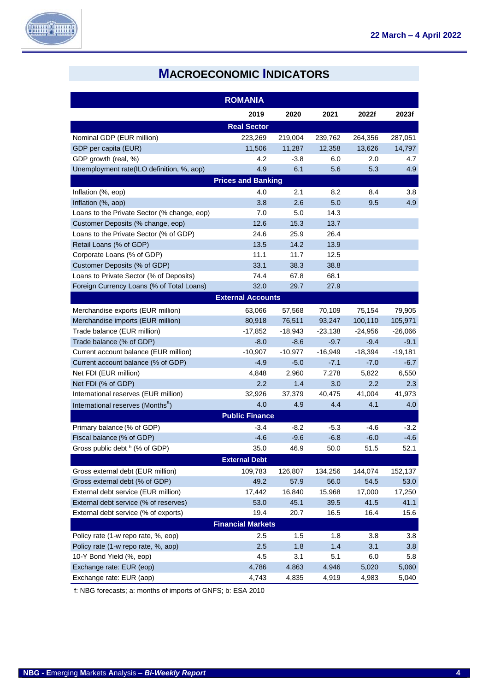

## **MACROECONOMIC INDICATORS**

<span id="page-4-0"></span>

|                                               | <b>ROMANIA</b>            |           |           |                  |           |
|-----------------------------------------------|---------------------------|-----------|-----------|------------------|-----------|
|                                               | 2019                      | 2020      | 2021      | 2022f            | 2023f     |
|                                               | <b>Real Sector</b>        |           |           |                  |           |
| Nominal GDP (EUR million)                     | 223,269                   | 219,004   | 239,762   | 264,356          | 287,051   |
| GDP per capita (EUR)                          | 11,506                    | 11,287    | 12,358    | 13,626           | 14,797    |
| GDP growth (real, %)                          | 4.2                       | $-3.8$    | 6.0       | 2.0              | 4.7       |
| Unemployment rate(ILO definition, %, aop)     | 4.9                       | 6.1       | 5.6       | 5.3              | 4.9       |
|                                               | <b>Prices and Banking</b> |           |           |                  |           |
| Inflation (%, eop)                            | 4.0                       | 2.1       | 8.2       | 8.4              | 3.8       |
| Inflation (%, aop)                            | 3.8                       | 2.6       | 5.0       | 9.5              | 4.9       |
| Loans to the Private Sector (% change, eop)   | 7.0                       | 5.0       | 14.3      |                  |           |
| Customer Deposits (% change, eop)             | 12.6                      | 15.3      | 13.7      |                  |           |
| Loans to the Private Sector (% of GDP)        | 24.6                      | 25.9      | 26.4      |                  |           |
| Retail Loans (% of GDP)                       | 13.5                      | 14.2      | 13.9      |                  |           |
| Corporate Loans (% of GDP)                    | 11.1                      | 11.7      | 12.5      |                  |           |
| Customer Deposits (% of GDP)                  | 33.1                      | 38.3      | 38.8      |                  |           |
| Loans to Private Sector (% of Deposits)       | 74.4                      | 67.8      | 68.1      |                  |           |
| Foreign Currency Loans (% of Total Loans)     | 32.0                      | 29.7      | 27.9      |                  |           |
|                                               | <b>External Accounts</b>  |           |           |                  |           |
| Merchandise exports (EUR million)             | 63,066                    | 57,568    | 70,109    | 75,154           | 79,905    |
| Merchandise imports (EUR million)             | 80,918                    | 76,511    | 93,247    | 100,110          | 105,971   |
| Trade balance (EUR million)                   | $-17,852$                 | $-18,943$ | $-23,138$ | $-24,956$        | $-26,066$ |
| Trade balance (% of GDP)                      | $-8.0$                    | $-8.6$    | $-9.7$    | $-9.4$           | $-9.1$    |
| Current account balance (EUR million)         | $-10,907$                 | $-10,977$ | $-16,949$ | $-18,394$        | $-19,181$ |
| Current account balance (% of GDP)            | $-4.9$                    | $-5.0$    | $-7.1$    | $-7.0$           | $-6.7$    |
| Net FDI (EUR million)                         | 4,848                     | 2,960     | 7,278     | 5,822            | 6,550     |
| Net FDI (% of GDP)                            | $2.2\phantom{0}$          | 1.4       | 3.0       | $2.2\phantom{0}$ | 2.3       |
| International reserves (EUR million)          | 32,926                    | 37,379    | 40,475    | 41,004           | 41,973    |
| International reserves (Months <sup>®</sup> ) | 4.0                       | 4.9       | 4.4       | 4.1              | 4.0       |
|                                               | <b>Public Finance</b>     |           |           |                  |           |
| Primary balance (% of GDP)                    | $-3.4$                    | -8.2      | $-5.3$    | -4.6             | $-3.2$    |
| Fiscal balance (% of GDP)                     | $-4.6$                    | $-9.6$    | $-6.8$    | $-6.0$           | $-4.6$    |
| Gross public debt <sup>b</sup> (% of GDP)     | 35.0                      | 46.9      | 50.0      | 51.5             | 52.1      |
|                                               | <b>External Debt</b>      |           |           |                  |           |
| Gross external debt (EUR million)             | 109,783                   | 126,807   | 134,256   | 144,074          | 152,137   |
| Gross external debt (% of GDP)                | 49.2                      | 57.9      | 56.0      | 54.5             | 53.0      |
| External debt service (EUR million)           | 17,442                    | 16,840    | 15,968    | 17,000           | 17,250    |
| External debt service (% of reserves)         | 53.0                      | 45.1      | 39.5      | 41.5             | 41.1      |
| External debt service (% of exports)          | 19.4                      | 20.7      | 16.5      | 16.4             | 15.6      |
|                                               | <b>Financial Markets</b>  |           |           |                  |           |
| Policy rate (1-w repo rate, %, eop)           | 2.5                       | 1.5       | 1.8       | 3.8              | 3.8       |
| Policy rate (1-w repo rate, %, aop)           | 2.5                       | 1.8       | 1.4       | 3.1              | 3.8       |
| 10-Y Bond Yield (%, eop)                      | 4.5                       | 3.1       | 5.1       | 6.0              | 5.8       |
| Exchange rate: EUR (eop)                      | 4,786                     | 4,863     | 4,946     | 5,020            | 5,060     |
| Exchange rate: EUR (aop)                      | 4,743                     | 4,835     | 4,919     | 4,983            | 5,040     |

f: NBG forecasts; a: months of imports of GNFS; b: ESA 2010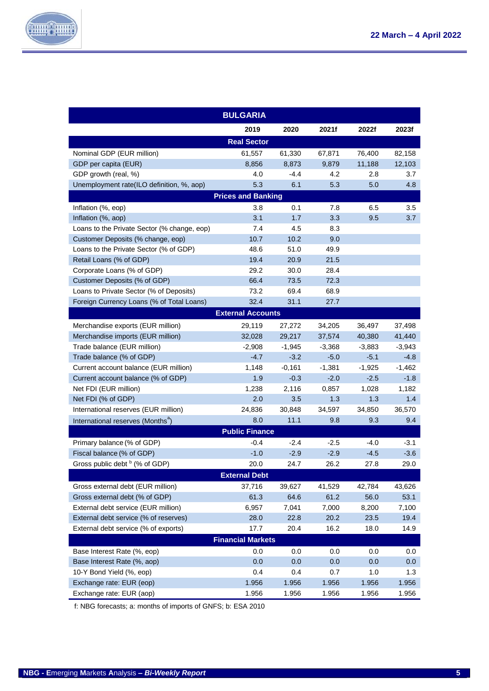

|                                               | <b>BULGARIA</b>          |          |          |          |          |  |  |  |
|-----------------------------------------------|--------------------------|----------|----------|----------|----------|--|--|--|
|                                               | 2019                     | 2020     | 2021f    | 2022f    | 2023f    |  |  |  |
|                                               | <b>Real Sector</b>       |          |          |          |          |  |  |  |
| Nominal GDP (EUR million)                     | 61,557                   | 61,330   | 67,871   | 76,400   | 82,158   |  |  |  |
| GDP per capita (EUR)                          | 8,856                    | 8,873    | 9,879    | 11,188   | 12,103   |  |  |  |
| GDP growth (real, %)                          | 4.0                      | $-4.4$   | 4.2      | 2.8      | 3.7      |  |  |  |
| Unemployment rate(ILO definition, %, aop)     | 5.3                      | 6.1      | 5.3      | 5.0      | 4.8      |  |  |  |
| <b>Prices and Banking</b>                     |                          |          |          |          |          |  |  |  |
| Inflation (%, eop)                            | 3.8                      | 0.1      | 7.8      | 6.5      | 3.5      |  |  |  |
| Inflation (%, aop)                            | 3.1                      | 1.7      | 3.3      | 9.5      | 3.7      |  |  |  |
| Loans to the Private Sector (% change, eop)   | 7.4                      | 4.5      | 8.3      |          |          |  |  |  |
| Customer Deposits (% change, eop)             | 10.7                     | 10.2     | 9.0      |          |          |  |  |  |
| Loans to the Private Sector (% of GDP)        | 48.6                     | 51.0     | 49.9     |          |          |  |  |  |
| Retail Loans (% of GDP)                       | 19.4                     | 20.9     | 21.5     |          |          |  |  |  |
| Corporate Loans (% of GDP)                    | 29.2                     | 30.0     | 28.4     |          |          |  |  |  |
| Customer Deposits (% of GDP)                  | 66.4                     | 73.5     | 72.3     |          |          |  |  |  |
| Loans to Private Sector (% of Deposits)       | 73.2                     | 69.4     | 68.9     |          |          |  |  |  |
| Foreign Currency Loans (% of Total Loans)     | 32.4                     | 31.1     | 27.7     |          |          |  |  |  |
|                                               | <b>External Accounts</b> |          |          |          |          |  |  |  |
| Merchandise exports (EUR million)             | 29,119                   | 27,272   | 34,205   | 36,497   | 37,498   |  |  |  |
| Merchandise imports (EUR million)             | 32,028                   | 29,217   | 37,574   | 40,380   | 41,440   |  |  |  |
| Trade balance (EUR million)                   | $-2,908$                 | $-1,945$ | $-3,368$ | $-3,883$ | $-3,943$ |  |  |  |
| Trade balance (% of GDP)                      | $-4.7$                   | $-3.2$   | $-5.0$   | $-5.1$   | $-4.8$   |  |  |  |
| Current account balance (EUR million)         | 1,148                    | $-0,161$ | $-1,381$ | $-1,925$ | $-1,462$ |  |  |  |
| Current account balance (% of GDP)            | 1.9                      | $-0.3$   | $-2.0$   | $-2.5$   | $-1.8$   |  |  |  |
| Net FDI (EUR million)                         | 1,238                    | 2,116    | 0,857    | 1,028    | 1,182    |  |  |  |
| Net FDI (% of GDP)                            | 2.0                      | 3.5      | 1.3      | 1.3      | 1.4      |  |  |  |
| International reserves (EUR million)          | 24,836                   | 30,848   | 34,597   | 34,850   | 36,570   |  |  |  |
| International reserves (Months <sup>a</sup> ) | 8.0                      | 11.1     | 9.8      | 9.3      | 9.4      |  |  |  |
|                                               | <b>Public Finance</b>    |          |          |          |          |  |  |  |
| Primary balance (% of GDP)                    | $-0.4$                   | -2.4     | $-2.5$   | $-4.0$   | $-3.1$   |  |  |  |
| Fiscal balance (% of GDP)                     | $-1.0$                   | $-2.9$   | $-2.9$   | $-4.5$   | $-3.6$   |  |  |  |
| Gross public debt $\frac{b}{c}$ (% of GDP)    | 20.0                     | 24.7     | 26.2     | 27.8     | 29.0     |  |  |  |
|                                               | <b>External Debt</b>     |          |          |          |          |  |  |  |
| Gross external debt (EUR million)             | 37,716                   | 39,627   | 41,529   | 42,784   | 43,626   |  |  |  |
| Gross external debt (% of GDP)                | 61.3                     | 64.6     | 61.2     | 56.0     | 53.1     |  |  |  |
| External debt service (EUR million)           | 6,957                    | 7,041    | 7,000    | 8,200    | 7,100    |  |  |  |
| External debt service (% of reserves)         | 28.0                     | 22.8     | 20.2     | 23.5     | 19.4     |  |  |  |
| External debt service (% of exports)          | 17.7                     | 20.4     | 16.2     | 18.0     | 14.9     |  |  |  |
|                                               | <b>Financial Markets</b> |          |          |          |          |  |  |  |
| Base Interest Rate (%, eop)                   | 0.0                      | 0.0      | 0.0      | 0.0      | 0.0      |  |  |  |
| Base Interest Rate (%, aop)                   | 0.0                      | 0.0      | 0.0      | 0.0      | 0.0      |  |  |  |
| 10-Y Bond Yield (%, eop)                      | 0.4                      | 0.4      | 0.7      | 1.0      | 1.3      |  |  |  |
| Exchange rate: EUR (eop)                      | 1.956                    | 1.956    | 1.956    | 1.956    | 1.956    |  |  |  |
| Exchange rate: EUR (aop)                      | 1.956                    | 1.956    | 1.956    | 1.956    | 1.956    |  |  |  |

f: NBG forecasts; a: months of imports of GNFS; b: ESA 2010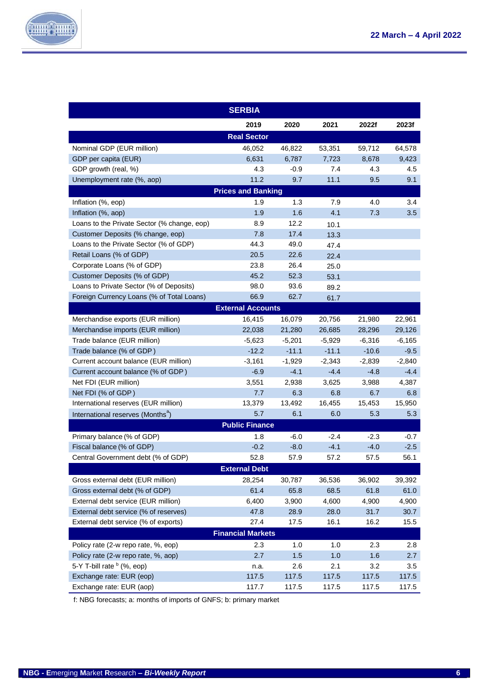

|                                               | <b>SERBIA</b>             |          |          |          |          |
|-----------------------------------------------|---------------------------|----------|----------|----------|----------|
|                                               | 2019                      | 2020     | 2021     | 2022f    | 2023f    |
|                                               | <b>Real Sector</b>        |          |          |          |          |
| Nominal GDP (EUR million)                     | 46,052                    | 46,822   | 53,351   | 59,712   | 64,578   |
| GDP per capita (EUR)                          | 6,631                     | 6,787    | 7,723    | 8,678    | 9,423    |
| GDP growth (real, %)                          | 4.3                       | $-0.9$   | 7.4      | 4.3      | 4.5      |
| Unemployment rate (%, aop)                    | 11.2                      | 9.7      | 11.1     | 9.5      | 9.1      |
|                                               | <b>Prices and Banking</b> |          |          |          |          |
| Inflation (%, eop)                            | 1.9                       | 1.3      | 7.9      | 4.0      | 3.4      |
| Inflation (%, aop)                            | 1.9                       | 1.6      | 4.1      | 7.3      | 3.5      |
| Loans to the Private Sector (% change, eop)   | 8.9                       | 12.2     | 10.1     |          |          |
| Customer Deposits (% change, eop)             | 7.8                       | 17.4     | 13.3     |          |          |
| Loans to the Private Sector (% of GDP)        | 44.3                      | 49.0     | 47.4     |          |          |
| Retail Loans (% of GDP)                       | 20.5                      | 22.6     | 22.4     |          |          |
| Corporate Loans (% of GDP)                    | 23.8                      | 26.4     | 25.0     |          |          |
| Customer Deposits (% of GDP)                  | 45.2                      | 52.3     | 53.1     |          |          |
| Loans to Private Sector (% of Deposits)       | 98.0                      | 93.6     | 89.2     |          |          |
| Foreign Currency Loans (% of Total Loans)     | 66.9                      | 62.7     | 61.7     |          |          |
|                                               | <b>External Accounts</b>  |          |          |          |          |
| Merchandise exports (EUR million)             | 16,415                    | 16,079   | 20,756   | 21,980   | 22,961   |
| Merchandise imports (EUR million)             | 22,038                    | 21,280   | 26,685   | 28,296   | 29,126   |
| Trade balance (EUR million)                   | $-5,623$                  | $-5,201$ | $-5,929$ | $-6,316$ | $-6,165$ |
| Trade balance (% of GDP)                      | $-12.2$                   | $-11.1$  | $-11.1$  | $-10.6$  | $-9.5$   |
| Current account balance (EUR million)         | $-3,161$                  | $-1,929$ | $-2,343$ | $-2,839$ | $-2,840$ |
| Current account balance (% of GDP)            | $-6.9$                    | $-4.1$   | $-4.4$   | $-4.8$   | $-4.4$   |
| Net FDI (EUR million)                         | 3,551                     | 2,938    | 3,625    | 3,988    | 4,387    |
| Net FDI (% of GDP)                            | 7.7                       | 6.3      | 6.8      | 6.7      | 6.8      |
| International reserves (EUR million)          | 13,379                    | 13,492   | 16,455   | 15,453   | 15,950   |
| International reserves (Months <sup>a</sup> ) | 5.7                       | 6.1      | 6.0      | 5.3      | 5.3      |
|                                               | <b>Public Finance</b>     |          |          |          |          |
| Primary balance (% of GDP)                    | 1.8                       | $-6.0$   | $-2.4$   | $-2.3$   | -0.7     |
| Fiscal balance (% of GDP)                     | $-0.2$                    | $-8.0$   | $-4.1$   | $-4.0$   | $-2.5$   |
| Central Government debt (% of GDP)            | 52.8                      | 57.9     | 57.2     | 57.5     | 56.1     |
|                                               | <b>External Debt</b>      |          |          |          |          |
| Gross external debt (EUR million)             | 28,254                    | 30,787   | 36,536   | 36,902   | 39,392   |
| Gross external debt (% of GDP)                | 61.4                      | 65.8     | 68.5     | 61.8     | 61.0     |
| External debt service (EUR million)           | 6,400                     | 3,900    | 4,600    | 4,900    | 4,900    |
| External debt service (% of reserves)         | 47.8                      | 28.9     | 28.0     | 31.7     | 30.7     |
| External debt service (% of exports)          | 27.4                      | 17.5     | 16.1     | 16.2     | 15.5     |
|                                               | <b>Financial Markets</b>  |          |          |          |          |
| Policy rate (2-w repo rate, %, eop)           | 2.3                       | 1.0      | 1.0      | 2.3      | 2.8      |
| Policy rate (2-w repo rate, %, aop)           | 2.7                       | $1.5$    | 1.0      | 1.6      | 2.7      |
| 5-Y T-bill rate <sup>b</sup> (%, eop)         | n.a.                      | 2.6      | 2.1      | 3.2      | 3.5      |
| Exchange rate: EUR (eop)                      | 117.5                     | 117.5    | 117.5    | 117.5    | 117.5    |
| Exchange rate: EUR (aop)                      | 117.7                     | 117.5    | 117.5    | 117.5    | 117.5    |

f: NBG forecasts; a: months of imports of GNFS; b: primary market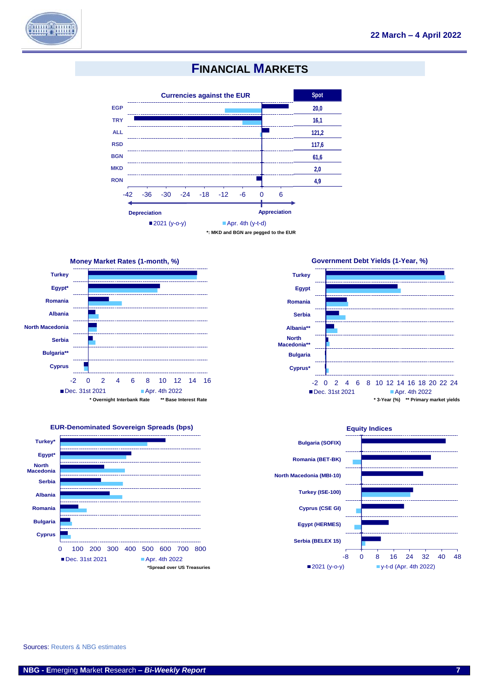

### **FINANCIAL MARKETS**



**\*: MKD and BGN are pegged to the EUR**









Sources: Reuters & NBG estimates